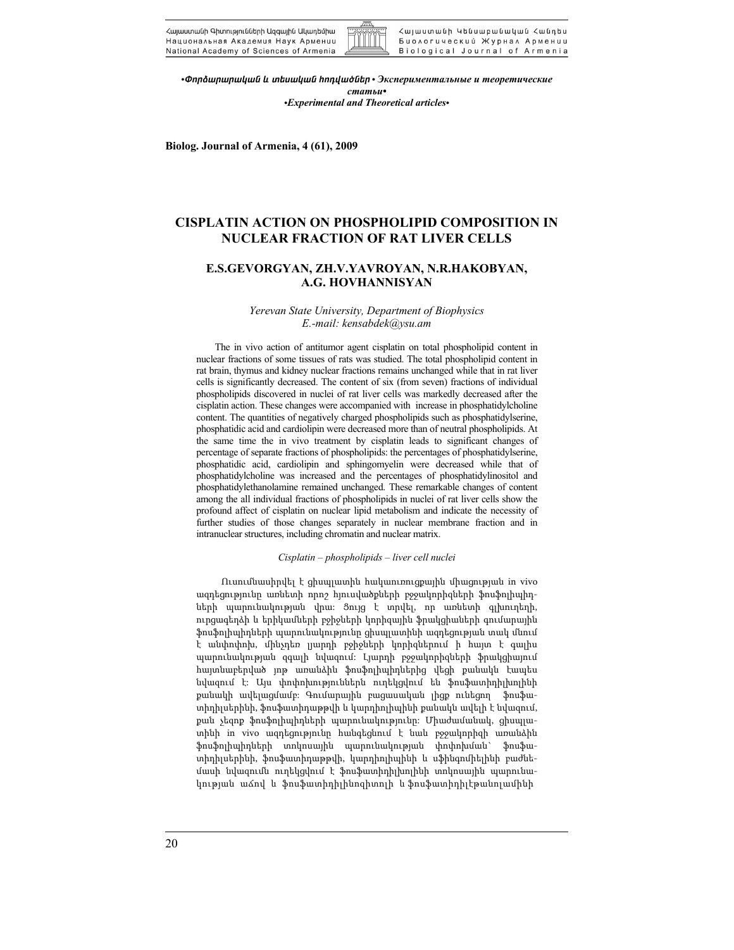



*•öáñÓ³ñ³ñ³Ï³Ý ¨ ï»ë³Ï³Ý Ñá¹í³ÍÝ»ñ • Экспериментальные и теоретические статьи• •Experimental and Theoretical articles•*

**Biolog. Journal of Armenia, 4 (61), 2009** 

# **CISPLATIN ACTION ON PHOSPHOLIPID COMPOSITION IN NUCLEAR FRACTION OF RAT LIVER CELLS**

## **E.S.GEVORGYAN, ZH.V.YAVROYAN, N.R.HAKOBYAN, A.G. HOVHANNISYAN**

### *Yerevan State University, Department of Biophysics E.-mail: kensabdek@ysu.am*

The in vivo action of antitumor agent cisplatin on total phospholipid content in nuclear fractions of some tissues of rats was studied. The total phospholipid content in rat brain, thymus and kidney nuclear fractions remains unchanged while that in rat liver cells is significantly decreased. The content of six (from seven) fractions of individual phospholipids discovered in nuclei of rat liver cells was markedly decreased after the cisplatin action. These changes were accompanied with increase in phosphatidylcholine content. The quantities of negatively charged phospholipids such as phosphatidylserine, phosphatidic acid and cardiolipin were decreased more than of neutral phospholipids. At the same time the in vivo treatment by cisplatin leads to significant changes of percentage of separate fractions of phospholipids: the percentages of phosphatidylserine, phosphatidic acid, cardiolipin and sphingomyelin were decreased while that of phosphatidylcholine was increased and the percentages of phosphatidylinositol and phosphatidylethanolamine remained unchanged. These remarkable changes of content among the all individual fractions of phospholipids in nuclei of rat liver cells show the profound affect of cisplatin on nuclear lipid metabolism and indicate the necessity of further studies of those changes separately in nuclear membrane fraction and in intranuclear structures, including chromatin and nuclear matrix.

#### *Cisplatin – phospholipids – liver cell nuclei*

Ուսումնասիրվել է ցիսպլատին հակաուռուցքային միացության in vivo ազդեցությունը առնետի որոշ հյուսվածքների բջջակորիզների ֆոսֆոլիպիդների պարունակության վրա: Ցույց է տրվել, որ առնետի գլխուղեղի, ուրցագեղձի և երիկամների բջիջների կորիզային ֆրակցիաների գումարային ֆոսֆոլիպիդների պարունակությունը ցիսպլատինի ազդեցության տակ մնում է անփոփոխ, մինչդեռ լյարդի բջիջների կորիզներում ի հայտ է գալիս պարունակության զգալի նվազում: Լյարդի բջջակորիզների ֆրակցիայում հայտնաբերված յոթ առանձին ֆոսֆոլիպիդներից վեցի քանակն էապես նվազում է: Այս փոփոխություններն ուղեկցվում են ֆոսֆատիդիլխոլինի քանակի ավելացմամբ: Գումարային բացասական լիցք ունեցող ֆոսֆատիդիլսերինի, ֆոսֆատիդաթթվի և կարդիոլիպինի քանակն ավելի է նվազում, քան չեզոք ֆոսֆոլիպիդների պարունակությունը: Միաժամանակ, ցիսպլատինի in vivo ազդեցությունը հանգեցնում է նաև բջջակորիզի առանձին ֆոսֆոլիպիդների տոկոսային պարունակության փոփոխման` ֆոսֆատիդիլսերինի, ֆոսֆատիդաթթվի, կարդիոլիպինի և սֆինգոմիելինի բաժնեմասի նվազումն ուղեկցվում է ֆոսֆատիդիլխոլինի տոկոսային պարունակության աճով և ֆոսֆատիդիլինոզիտոլի և ֆոսֆատիդիլէթանոլամինի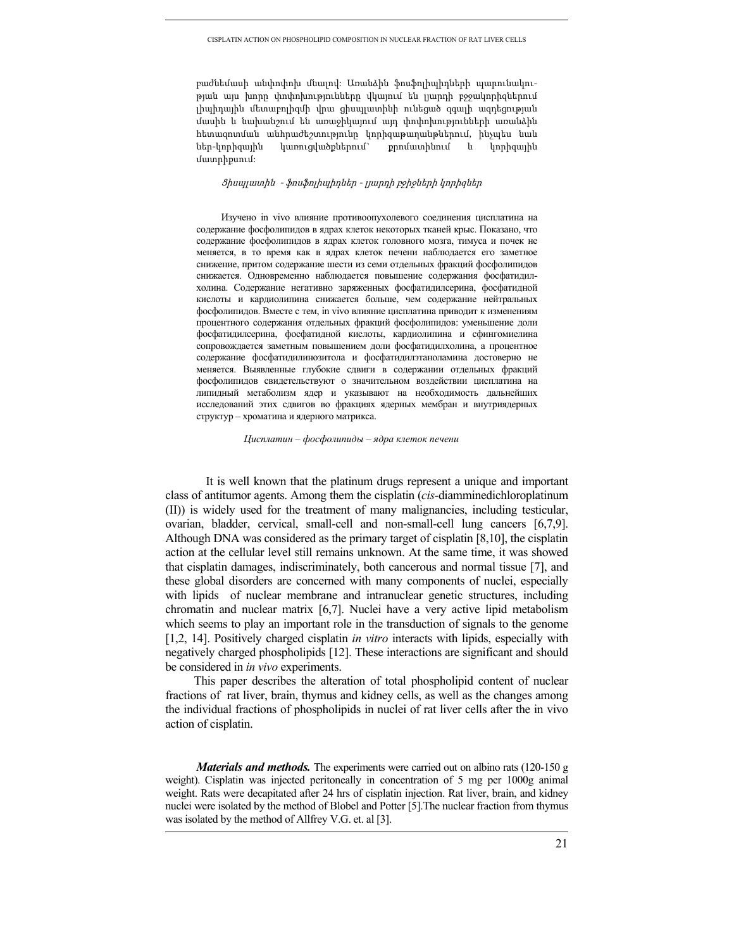բաժնեմասի անփոփոխ մնալով: Առանձին ֆոսֆոլիպիդների պարունակության այս խորը փոփոխությունները վկայում են լյարդի բջջակորիզներում լիպիդային մետաբոլիզմի վրա ցիսպլատինի ունեցած զգալի ազդեցության մասին և նախանշում են առաջիկայում այդ փոփոխությունների առանձին հետազոտման անհրաժեշտությունը կորիզաթաղանթներում, ինչպես նաև ներ-կորիզային կառուցվածքներում` քրոմատինում և կորիզային մատրիքսում:

### Ցիսպլատին - ֆոսֆոլիպիդներ - լյարդի բջիջների կորիզներ

Изучено in vivo влияние противоопухолевого соединения цисплатина на содержание фосфолипидов в ядрах клеток некоторых тканей крыс. Показано, что содержание фосфолипидов в ядрах клеток головного мозга, тимуса и почек не меняется, в то время как в ядрах клеток печени наблюдается его заметное снижение, притом содержание шести из семи отдельных фракций фосфолипидов снижается. Одновременно наблюдается повышение содержания фосфатидилхолина. Содержание негативно заряженных фосфатидилсерина, фосфатидной кислоты и кардиолипина снижается больше, чем содержание нейтральных фосфолипидов. Вместе с тем, in vivo влияние цисплатина приводит к изменениям процентного содержания отдельных фракций фосфолипидов: уменьшение доли фосфатидилсерина, фосфатидной кислоты, кардиолипина и сфингомиелина сопровождается заметным повышением доли фосфатидилхолина, а процентное содержание фосфатидилинозитола и фосфатидилэтаноламина достоверно не меняется. Выявленные глубокие сдвиги в содержании отдельных фракций фосфолипидов свидетельствуют о значительном воздействии цисплатина на липидный метаболизм ядер и указывают на необходимость дальнейших исследований этих сдвигов во фракциях ядерных мембран и внутриядерных структур – хроматина и ядерного матрикса.

*Цисплатин – фосфолипиды – ядра клеток печени*

It is well known that the platinum drugs represent a unique and important class of antitumor agents. Among them the cisplatin (*cis*-diamminedichloroplatinum (II)) is widely used for the treatment of many malignancies, including testicular, ovarian, bladder, cervical, small-cell and non-small-cell lung cancers [6,7,9]. Although DNA was considered as the primary target of cisplatin [8,10], the cisplatin action at the cellular level still remains unknown. At the same time, it was showed that cisplatin damages, indiscriminately, both cancerous and normal tissue [7], and these global disorders are concerned with many components of nuclei, especially with lipids of nuclear membrane and intranuclear genetic structures, including chromatin and nuclear matrix [6,7]. Nuclei have a very active lipid metabolism which seems to play an important role in the transduction of signals to the genome [1,2, 14]. Positively charged cisplatin *in vitro* interacts with lipids, especially with negatively charged phospholipids [12]. These interactions are significant and should be considered in *in vivo* experiments.

 This paper describes the alteration of total phospholipid content of nuclear fractions of rat liver, brain, thymus and kidney cells, as well as the changes among the individual fractions of phospholipids in nuclei of rat liver cells after the in vivo action of cisplatin.

*Materials and methods.* The experiments were carried out on albino rats (120-150 g weight). Cisplatin was injected peritoneally in concentration of 5 mg per 1000g animal weight. Rats were decapitated after 24 hrs of cisplatin injection. Rat liver, brain, and kidney nuclei were isolated by the method of Blobel and Potter [5].The nuclear fraction from thymus was isolated by the method of Allfrey V.G. et. al [3].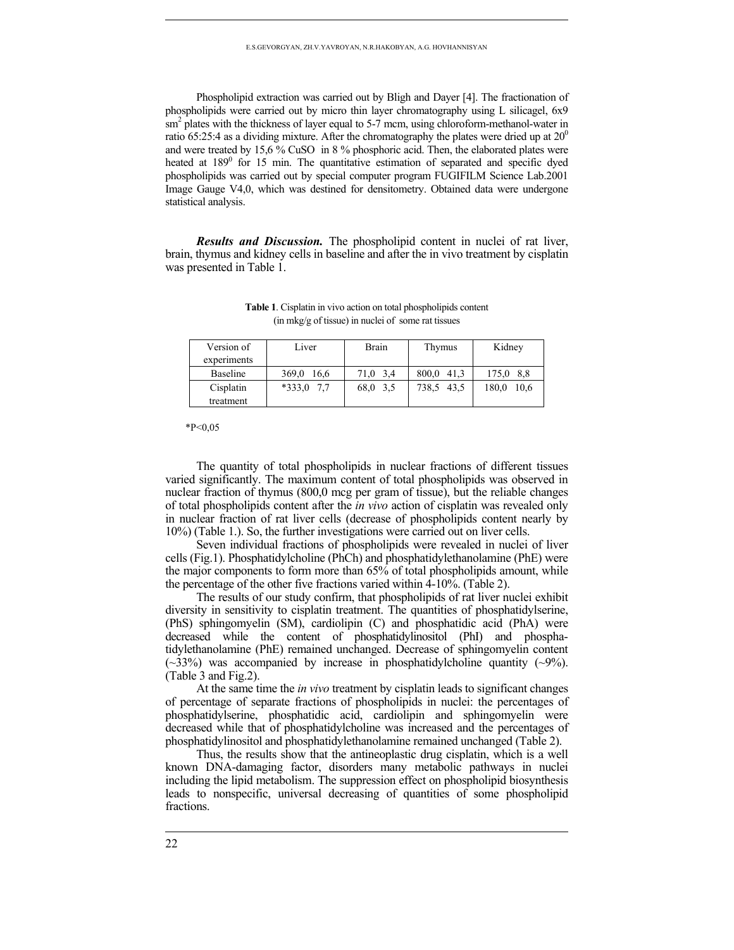Phospholipid extraction was carried out by Bligh and Dayer [4]. The fractionation of phospholipids were carried out by micro thin layer chromatography using L silicagel, 6x9  $\sin^2$  plates with the thickness of layer equal to 5-7 mcm, using chloroform-methanol-water in ratio 65:25:4 as a dividing mixture. After the chromatography the plates were dried up at  $20^{\circ}$ and were treated by 15,6 % CuSO in 8 % phosphoric acid. Then, the elaborated plates were heated at 189<sup>0</sup> for 15 min. The quantitative estimation of separated and specific dyed phospholipids was carried out by special computer program FUGIFILM Science Lab.2001 Image Gauge V4,0, which was destined for densitometry. Obtained data were undergone statistical analysis.

*Results and Discussion.* The phospholipid content in nuclei of rat liver, brain, thymus and kidney cells in baseline and after the in vivo treatment by cisplatin was presented in Table 1.

| Version of  | Liver         | Brain    | Thymus        | Kidney        |  |
|-------------|---------------|----------|---------------|---------------|--|
| experiments |               |          |               |               |  |
| Baseline    | 369.0<br>16,6 | 71,0 3,4 | 800.0 41.3    | 175,0 8.8     |  |
| Cisplatin   | $*333.0$ 7.7  | 68,0 3,5 | 43.5<br>738,5 | 180,0<br>10,6 |  |
| treatment   |               |          |               |               |  |

**Table 1**. Cisplatin in vivo action on total phospholipids content (in mkg/g of tissue) in nuclei of some rat tissues

 $*P<0,05$ 

The quantity of total phospholipids in nuclear fractions of different tissues varied significantly. The maximum content of total phospholipids was observed in nuclear fraction of thymus (800,0 mcg per gram of tissue), but the reliable changes of total phospholipids content after the *in vivo* action of cisplatin was revealed only in nuclear fraction of rat liver cells (decrease of phospholipids content nearly by 10%) (Table 1.). So, the further investigations were carried out on liver cells.

Seven individual fractions of phospholipids were revealed in nuclei of liver cells (Fig.1). Phosphatidylcholine (PhCh) and phosphatidylethanolamine (PhE) were the major components to form more than 65% of total phospholipids amount, while the percentage of the other five fractions varied within 4-10%. (Table 2).

The results of our study confirm, that phospholipids of rat liver nuclei exhibit diversity in sensitivity to cisplatin treatment. The quantities of phosphatidylserine, (PhS) sphingomyelin (SM), cardiolipin (C) and phosphatidic acid (PhA) were decreased while the content of phosphatidylinositol (PhI) and phosphatidylethanolamine (PhE) remained unchanged. Decrease of sphingomyelin content  $(\sim 33\%)$  was accompanied by increase in phosphatidylcholine quantity  $(\sim 9\%)$ . (Table 3 and Fig.2).

At the same time the *in vivo* treatment by cisplatin leads to significant changes of percentage of separate fractions of phospholipids in nuclei: the percentages of phosphatidylserine, phosphatidic acid, cardiolipin and sphingomyelin were decreased while that of phosphatidylcholine was increased and the percentages of phosphatidylinositol and phosphatidylethanolamine remained unchanged (Table 2).

Thus, the results show that the antineoplastic drug cisplatin, which is a well known DNA-damaging factor, disorders many metabolic pathways in nuclei including the lipid metabolism. The suppression effect on phospholipid biosynthesis leads to nonspecific, universal decreasing of quantities of some phospholipid fractions.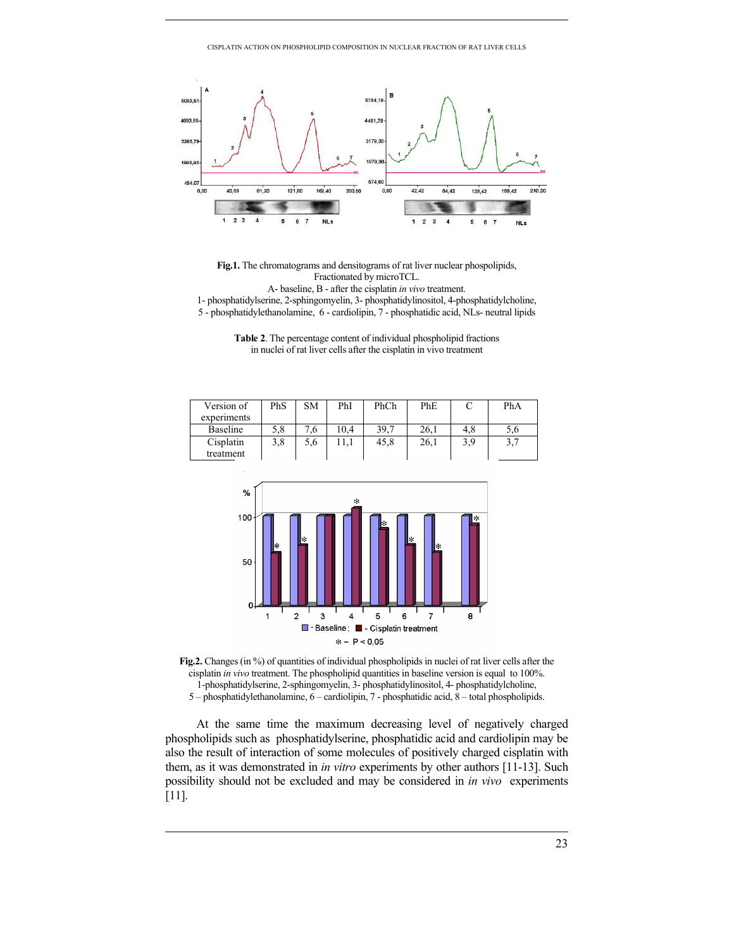

#### **Fig.1.** The chromatograms and densitograms of rat liver nuclear phospolipids, Fractionated by microTCL. A- baseline, B - after the cisplatin *in vivo* treatment.

1- phosphatidylserine, 2-sphingomyelin, 3- phosphatidylinositol, 4-phosphatidylcholine, 5 - phosphatidylethanolamine, 6 - cardiolipin, 7 - phosphatidic acid, NLs- neutral lipids



| Version of  | PhS | <b>SM</b> | PhI  | PhCh | PhE  |     | PhA |
|-------------|-----|-----------|------|------|------|-----|-----|
| experiments |     |           |      |      |      |     |     |
| Baseline    | 5.8 | 7.6       | 10.4 | 39.7 | 26,1 | 4.8 | D.O |
| Cisplatin   | 3,8 | 5,6       | 11,1 | 45,8 | 26,1 | 3,9 | 3,7 |
| treatment   |     |           |      |      |      |     |     |
|             |     |           |      |      |      |     |     |





5 – phosphatidylethanolamine, 6 – cardiolipin, 7 - phosphatidic acid, 8 – total phospholipids.

At the same time the maximum decreasing level of negatively charged phospholipids such as phosphatidylserine, phosphatidic acid and cardiolipin may be also the result of interaction of some molecules of positively charged cisplatin with them, as it was demonstrated in *in vitro* experiments by other authors [11-13]. Such possibility should not be excluded and may be considered in *in vivo* experiments [11].